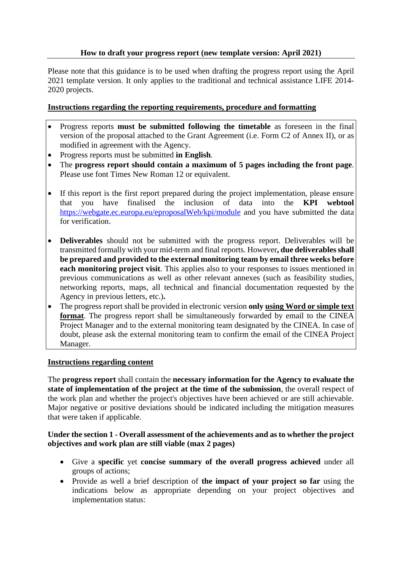# **How to draft your progress report (new template version: April 2021)**

Please note that this guidance is to be used when drafting the progress report using the April 2021 template version. It only applies to the traditional and technical assistance LIFE 2014- 2020 projects.

### **Instructions regarding the reporting requirements, procedure and formatting**

- Progress reports **must be submitted following the timetable** as foreseen in the final version of the proposal attached to the Grant Agreement (i.e. Form C2 of Annex II), or as modified in agreement with the Agency.
- Progress reports must be submitted **in English**.
- The **progress report should contain a maximum of 5 pages including the front page**. Please use font Times New Roman 12 or equivalent.
- If this report is the first report prepared during the project implementation, please ensure that you have finalised the inclusion of data into the **KPI webtool** <https://webgate.ec.europa.eu/eproposalWeb/kpi/module> and you have submitted the data for verification.
- **Deliverables** should not be submitted with the progress report. Deliverables will be transmitted formally with your mid-term and final reports. However**, due deliverablesshall be prepared and provided to the external monitoring team by email three weeks before each monitoring project visit**. This applies also to your responses to issues mentioned in previous communications as well as other relevant annexes (such as feasibility studies, networking reports, maps, all technical and financial documentation requested by the Agency in previous letters, etc.)**.**
- The progress report shall be provided in electronic version **only using Word or simple text format**. The progress report shall be simultaneously forwarded by email to the CINEA Project Manager and to the external monitoring team designated by the CINEA. In case of doubt, please ask the external monitoring team to confirm the email of the CINEA Project Manager.

#### **Instructions regarding content**

The **progress report** shall contain the **necessary information for the Agency to evaluate the state of implementation of the project at the time of the submission**, the overall respect of the work plan and whether the project's objectives have been achieved or are still achievable. Major negative or positive deviations should be indicated including the mitigation measures that were taken if applicable.

#### **Under the section 1 - Overall assessment of the achievements and as to whether the project objectives and work plan are still viable (max 2 pages)**

- Give a **specific** yet **concise summary of the overall progress achieved** under all groups of actions;
- Provide as well a brief description of **the impact of your project so far** using the indications below as appropriate depending on your project objectives and implementation status: